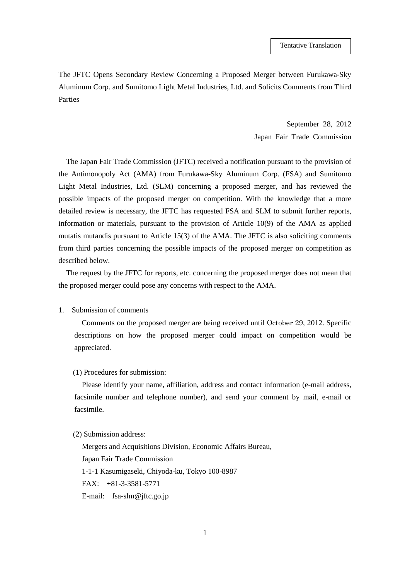The JFTC Opens Secondary Review Concerning a Proposed Merger between Furukawa-Sky Aluminum Corp. and Sumitomo Light Metal Industries, Ltd. and Solicits Comments from Third Parties

> September 28, 2012 Japan Fair Trade Commission

The Japan Fair Trade Commission (JFTC) received a notification pursuant to the provision of the Antimonopoly Act (AMA) from Furukawa-Sky Aluminum Corp. (FSA) and Sumitomo Light Metal Industries, Ltd. (SLM) concerning a proposed merger, and has reviewed the possible impacts of the proposed merger on competition. With the knowledge that a more detailed review is necessary, the JFTC has requested FSA and SLM to submit further reports, information or materials, pursuant to the provision of Article 10(9) of the AMA as applied mutatis mutandis pursuant to Article 15(3) of the AMA. The JFTC is also soliciting comments from third parties concerning the possible impacts of the proposed merger on competition as described below.

The request by the JFTC for reports, etc. concerning the proposed merger does not mean that the proposed merger could pose any concerns with respect to the AMA.

1. Submission of comments

Comments on the proposed merger are being received until October 29, 2012. Specific descriptions on how the proposed merger could impact on competition would be appreciated.

(1) Procedures for submission:

Please identify your name, affiliation, address and contact information (e-mail address, facsimile number and telephone number), and send your comment by mail, e-mail or facsimile.

(2) Submission address:

Mergers and Acquisitions Division, Economic Affairs Bureau, Japan Fair Trade Commission 1-1-1 Kasumigaseki, Chiyoda-ku, Tokyo 100-8987 FAX: +81-3-3581-5771 E-mail: fsa-slm@jftc.go.jp